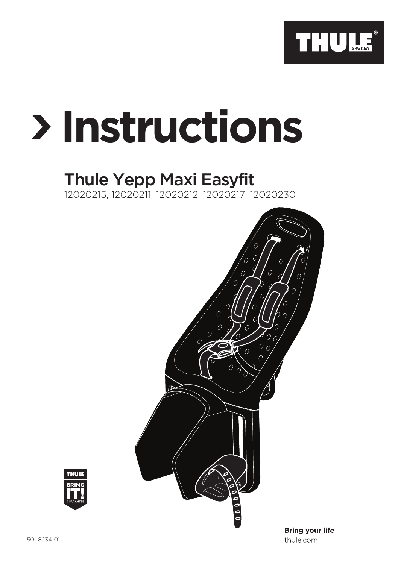

# **Instructions**

## Thule Yepp Maxi Easyfit

12020215, 12020211, 12020212, 12020217, 12020230





thule.com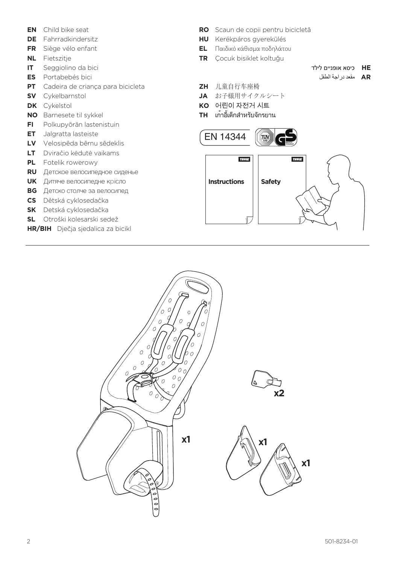- **EN** Child bike seat
- **DE** Fahrradkindersitz
- **FR** Siège vélo enfant
- **NL** Fietszitje
- **IT** Seggiolino da bici
- **ES** Portabebés bici
- **PT** Cadeira de criança para bicicleta
- **SV** Cykelbarnstol
- **DK** Cykelstol
- **NO** Barnesete til sykkel
- **FI** Polkupyörän lastenistuin
- **ET** Jalgratta lasteiste
- **LV** Velosipēda bērnu sēdeklis
- **LT** Dviračio kėdutė vaikams
- **PL** Fotelik rowerowy
- **RU** Детское велосипедное сиденье
- **UK** Дитяче велосипедне крісло
- **BG** Детско столче за велосипед
- **CS** Dětská cyklosedačka
- **SK** Detská cyklosedačka
- **SL** Otroški kolesarski sedež
- **HR/BIH** Dječja sjedalica za bicikl
- **RO** Scaun de copii pentru bicicletă
- **HU** Kerékpáros gyerekülés
- **EL** Παιδικό κάθισμα ποδηλάτου
- **TR** Çocuk bisiklet koltuğu
- **HE** כיסא אופניים לילד
	- **AR** مقعد دراجة الطفل
- **ZH** 儿童自行车座椅
- **JA** お子様用サイクルシート
- **KO** 어린이 자전거 시트
- **TH** เก้าอี้เด็กสำ หรับจักรยาน



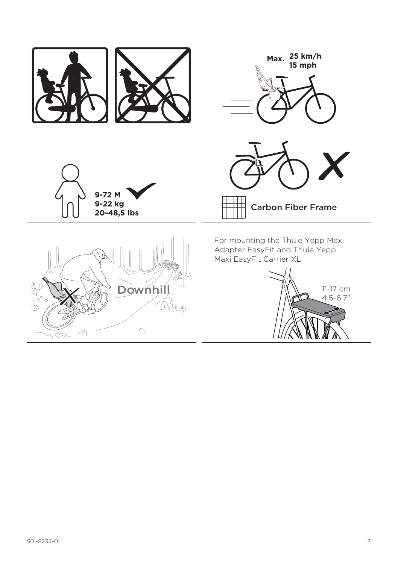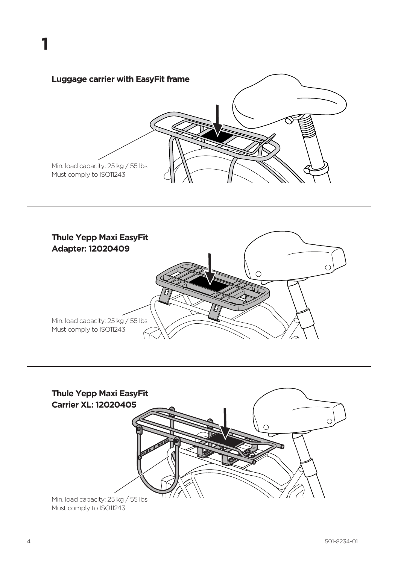



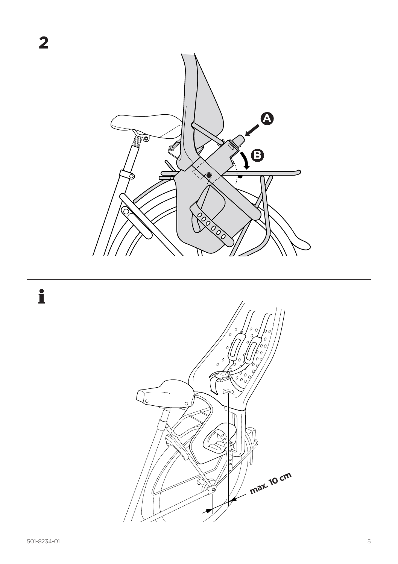

 $\mathbf i$ 

 $\overline{\mathbf{2}}$ 

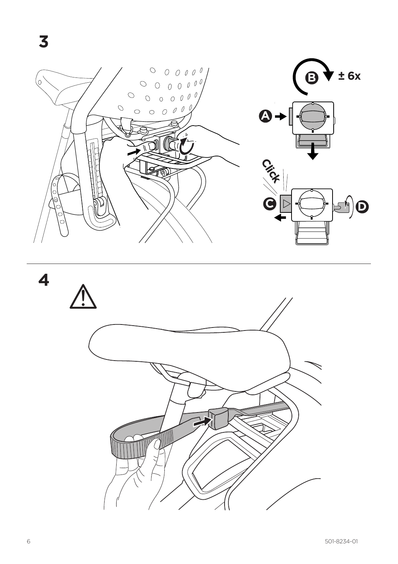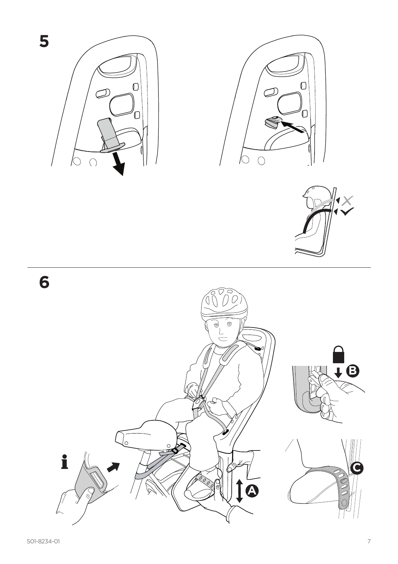

5

 $\overline{\bm{\Theta}}$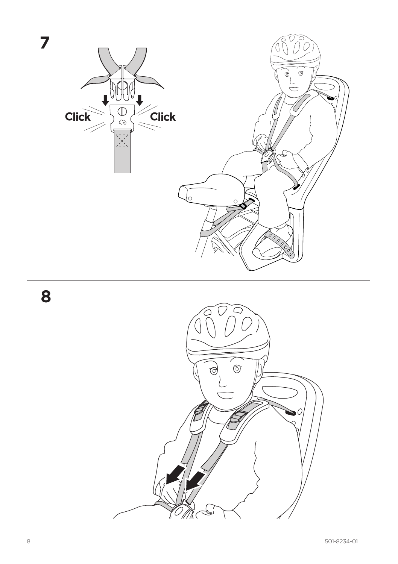